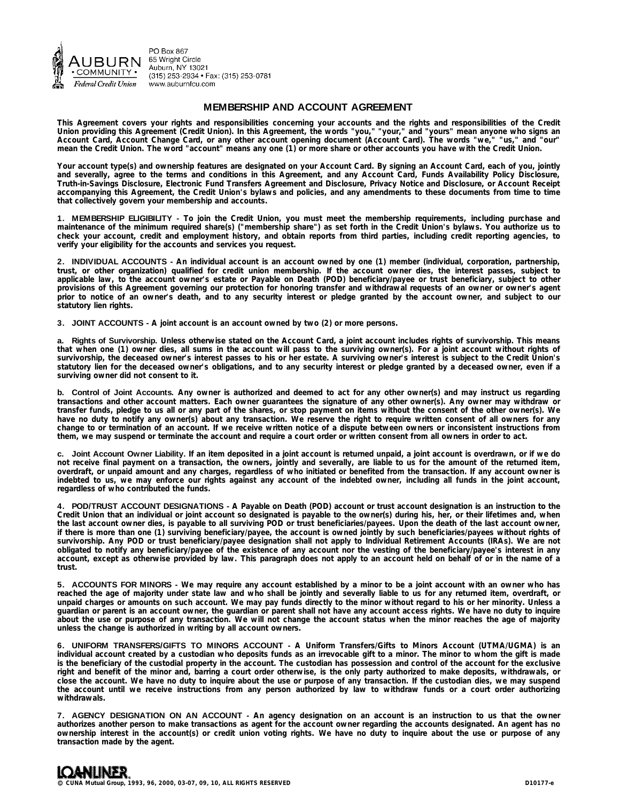

PO Box 867 65 Wright Circle Auburn, NY 13021 (315) 253-2934 · Fax: (315) 253-0781 www.auburnfcu.com

# **MEMBERSHIP AND ACCOUNT AGREEMENT**

This Agreement covers your rights and responsibilities concerning your accounts and the rights and responsibilities of the Credit Union providing this Agreement (Credit Union). In this Agreement, the words "you," "your," and "yours" mean anyone who signs an Account Card, Account Change Card, or any other account opening document (Account Card). The words "we," "us," and "our" **mean the Credit Union. The word "account" means any one (1) or more share or other accounts you have with the Credit Union.**

Your account type(s) and ownership features are designated on your Account Card. By signing an Account Card, each of you, jointly and severally, agree to the terms and conditions in this Agreement, and any Account Card, Funds Availability Policy Disclosure, Truth-in-Savings Disclosure, Electronic Fund Transfers Agreement and Disclosure, Privacy Notice and Disclosure, or Account Receipt accompanying this Agreement, the Credit Union's bylaws and policies, and any amendments to these documents from time to time **that collectively govern your membership and accounts.**

1. MEMBERSHIP ELIGIBILITY – To join the Credit Union, you must meet the membership requirements, including purchase and maintenance of the minimum required share(s) ("membership share") as set forth in the Credit Union's bylaws. You authorize us to check your account, credit and employment history, and obtain reports from third parties, including credit reporting agencies, to **verify your eligibility for the accounts and services you request.**

2. INDIVIDUAL ACCOUNTS - An individual account is an account owned by one (1) member (individual, corporation, partnership, trust, or other organization) qualified for credit union membership. If the account owner dies, the interest passes, subject to applicable law, to the account owner's estate or Payable on Death (POD) beneficiary/payee or trust beneficiary, subject to other provisions of this Agreement governing our protection for honoring transfer and withdrawal requests of an owner or owner's agent prior to notice of an owner's death, and to any security interest or pledge granted by the account owner, and subject to our **statutory lien rights.**

**3. JOINT ACCOUNTS - A joint account is an account owned by two (2) or more persons.**

a. Rights of Survivorship. Unless otherwise stated on the Account Card, a joint account includes rights of survivorship. This means that when one (1) owner dies, all sums in the account will pass to the surviving owner(s). For a joint account without rights of survivorship, the deceased owner's interest passes to his or her estate. A surviving owner's interest is subject to the Credit Union's statutory lien for the deceased owner's obligations, and to any security interest or pledge granted by a deceased owner, even if a **surviving owner did not consent to it.**

b. Control of Joint Accounts. Any owner is authorized and deemed to act for any other owner(s) and may instruct us regarding transactions and other account matters. Each owner guarantees the signature of any other owner(s). Any owner may withdraw or transfer funds, pledge to us all or any part of the shares, or stop payment on items without the consent of the other owner(s). We have no duty to notify any owner(s) about any transaction. We reserve the right to require written consent of all owners for any change to or termination of an account. If we receive written notice of a dispute between owners or inconsistent instructions from **them, we may suspend or terminate the account and require a court order or written consent from all owners in order to act.**

c. Joint Account Owner Liability. If an item deposited in a joint account is returned unpaid, a joint account is overdrawn, or if we do not receive final payment on a transaction, the owners, jointly and severally, are liable to us for the amount of the returned item, overdraft, or unpaid amount and any charges, regardless of who initiated or benefited from the transaction. If any account owner is indebted to us, we may enforce our rights against any account of the indebted owner, including all funds in the joint account, **regardless of who contributed the funds.**

4. POD/TRUST ACCOUNT DESIGNATIONS - A Payable on Death (POD) account or trust account designation is an instruction to the Credit Union that an individual or joint account so designated is payable to the owner(s) during his, her, or their lifetimes and, when the last account owner dies, is payable to all surviving POD or trust beneficiaries/payees. Upon the death of the last account owner, if there is more than one (1) surviving beneficiary/payee, the account is owned jointly by such beneficiaries/payees without rights of survivorship. Any POD or trust beneficiary/payee designation shall not apply to Individual Retirement Accounts (IRAs). We are not obligated to notify any beneficiary/payee of the existence of any account nor the vesting of the beneficiary/payee's interest in any account, except as otherwise provided by law. This paragraph does not apply to an account held on behalf of or in the name of a **trust.**

5. ACCOUNTS FOR MINORS - We may require any account established by a minor to be a joint account with an owner who has reached the age of majority under state law and who shall be jointly and severally liable to us for any returned item, overdraft, or unpaid charges or amounts on such account. We may pay funds directly to the minor without regard to his or her minority. Unless a guardian or parent is an account owner, the guardian or parent shall not have any account access rights. We have no duty to inquire about the use or purpose of any transaction. We will not change the account status when the minor reaches the age of majority **unless the change is authorized in writing by all account owners.**

**6. UNIFORM TRANSFERS/GIFTS TO MINORS ACCOUNT - A Uniform Transfers/Gifts to Minors Account (UTMA/UGMA) is an** individual account created by a custodian who deposits funds as an irrevocable gift to a minor. The minor to whom the gift is made is the beneficiary of the custodial property in the account. The custodian has possession and control of the account for the exclusive right and benefit of the minor and, barring a court order otherwise, is the only party authorized to make deposits, withdrawals, or close the account. We have no duty to inquire about the use or purpose of any transaction. If the custodian dies, we may suspend the account until we receive instructions from any person authorized by law to withdraw funds or a court order authorizing **withdrawals.**

7. AGENCY DESIGNATION ON AN ACCOUNT - An agency designation on an account is an instruction to us that the owner authorizes another person to make transactions as agent for the account owner regarding the accounts designated. An agent has no ownership interest in the account(s) or credit union voting rights. We have no duty to inquire about the use or purpose of any **transaction made by the agent.**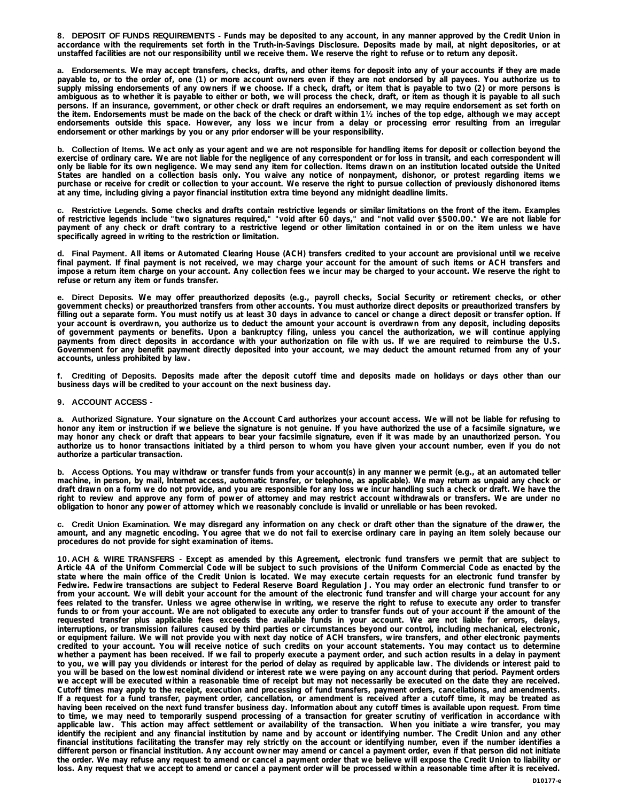8. DEPOSIT OF FUNDS REQUIREMENTS - Funds may be deposited to any account, in any manner approved by the Credit Union in accordance with the requirements set forth in the Truth-in-Savings Disclosure. Deposits made by mail, at night depositories, or at **unstaffed facilities are not our responsibility until we receive them. We reserve the right to refuse or to return any deposit.**

a. Endorsements. We may accept transfers, checks, drafts, and other items for deposit into any of your accounts if they are made payable to, or to the order of, one (1) or more account owners even if they are not endorsed by all payees. You authorize us to supply missing endorsements of any owners if we choose. If a check, draft, or item that is payable to two (2) or more persons is ambiguous as to whether it is payable to either or both, we will process the check, draft, or item as though it is payable to all such persons. If an insurance, government, or other check or draft requires an endorsement, we may require endorsement as set forth on the item. Endorsements must be made on the back of the check or draft within 11/2 inches of the top edge, although we may accept endorsements outside this space. However, any loss we incur from a delay or processing error resulting from an irregular **endorsement or other markings by you or any prior endorser will be your responsibility.**

b. Collection of Items. We act only as your agent and we are not responsible for handling items for deposit or collection beyond the exercise of ordinary care. We are not liable for the negligence of any correspondent or for loss in transit, and each correspondent will only be liable for its own negligence. We may send any item for collection. Items drawn on an institution located outside the United States are handled on a collection basis only. You waive any notice of nonpayment, dishonor, or protest regarding items we purchase or receive for credit or collection to your account. We reserve the right to pursue collection of previously dishonored items **at any time, including giving a payor financial institution extra time beyond any midnight deadline limits.**

c. Restrictive Legends. Some checks and drafts contain restrictive legends or similar limitations on the front of the item. Examples of restrictive legends include "two signatures required," "void after 60 days," and "not valid over \$500.00." We are not liable for payment of any check or draft contrary to a restrictive legend or other limitation contained in or on the item unless we have **specifically agreed in writing to the restriction or limitation.**

d. Final Payment. All items or Automated Clearing House (ACH) transfers credited to your account are provisional until we receive final payment. If final payment is not received, we may charge your account for the amount of such items or ACH transfers and impose a return item charge on your account. Any collection fees we incur may be charged to your account. We reserve the right to **refuse or return any item or funds transfer.**

e. Direct Deposits. We may offer preauthorized deposits (e.g., payroll checks, Social Security or retirement checks, or other government checks) or preauthorized transfers from other accounts. You must authorize direct deposits or preauthorized transfers by filling out a separate form. You must notify us at least 30 days in advance to cancel or change a direct deposit or transfer option. If your account is overdrawn, you authorize us to deduct the amount your account is overdrawn from any deposit, including deposits of government payments or benefits. Upon a bankruptcy filing, unless you cancel the authorization, we will continue applying payments from direct deposits in accordance with your authorization on file with us. If we are required to reimburse the U.S. Government for any benefit payment directly deposited into your account, we may deduct the amount returned from any of your **accounts, unless prohibited by law.**

f. Crediting of Deposits. Deposits made after the deposit cutoff time and deposits made on holidays or days other than our **business days will be credited to your account on the next business day.**

# **9. ACCOUNT ACCESS -**

a. Authorized Signature. Your signature on the Account Card authorizes your account access. We will not be liable for refusing to honor any item or instruction if we believe the signature is not genuine. If you have authorized the use of a facsimile signature, we may honor any check or draft that appears to bear your facsimile signature, even if it was made by an unauthorized person. You authorize us to honor transactions initiated by a third person to whom you have given your account number, even if you do not **authorize a particular transaction.**

b. Access Options. You may withdraw or transfer funds from your account(s) in any manner we permit (e.g., at an automated teller machine, in person, by mail, Internet access, automatic transfer, or telephone, as applicable). We may return as unpaid any check or draft drawn on a form we do not provide, and you are responsible for any loss we incur handling such a check or draft. We have the right to review and approve any form of power of attorney and may restrict account withdrawals or transfers. We are under no **obligation to honor any power of attorney which we reasonably conclude is invalid or unreliable or has been revoked.**

c. Credit Union Examination. We may disregard any information on any check or draft other than the signature of the drawer, the amount, and any magnetic encoding. You agree that we do not fail to exercise ordinary care in paying an item solely because our **procedures do not provide for sight examination of items.**

10. ACH & WIRE TRANSFERS - Except as amended by this Agreement, electronic fund transfers we permit that are subject to Article 4A of the Uniform Commercial Code will be subject to such provisions of the Uniform Commercial Code as enacted by the state where the main office of the Credit Union is located. We may execute certain requests for an electronic fund transfer by Fedwire. Fedwire transactions are subject to Federal Reserve Board Regulation J. You may order an electronic fund transfer to or from your account. We will debit your account for the amount of the electronic fund transfer and will charge your account for any fees related to the transfer. Unless we agree otherwise in writing, we reserve the right to refuse to execute any order to transfer funds to or from your account. We are not obligated to execute any order to transfer funds out of your account if the amount of the requested transfer plus applicable fees exceeds the available funds in your account. We are not liable for errors, delays, interruptions, or transmission failures caused by third parties or circumstances beyond our control, including mechanical, electronic, or equipment failure. We will not provide you with next day notice of ACH transfers, wire transfers, and other electronic payments credited to your account. You will receive notice of such credits on your account statements. You may contact us to determine whether a payment has been received. If we fail to properly execute a payment order, and such action results in a delay in payment to you, we will pay you dividends or interest for the period of delay as required by applicable law. The dividends or interest paid to you will be based on the lowest nominal dividend or interest rate we were paying on any account during that period. Payment orders we accept will be executed within a reasonable time of receipt but may not necessarily be executed on the date they are received. Cutoff times may apply to the receipt, execution and processing of fund transfers, payment orders, cancellations, and amendments. If a request for a fund transfer, payment order, cancellation, or amendment is received after a cutoff time, it may be treated as having been received on the next fund transfer business day. Information about any cutoff times is available upon request. From time to time, we may need to temporarily suspend processing of a transaction for greater scrutiny of verification in accordance with applicable law. This action may affect settlement or availability of the transaction. When you initiate a wire transfer, you may identify the recipient and any financial institution by name and by account or identifying number. The Credit Union and any other financial institutions facilitating the transfer may rely strictly on the account or identifying number, even if the number identifies a different person or financial institution. Any account owner may amend or cancel a payment order, even if that person did not initiate the order. We may refuse any request to amend or cancel a payment order that we believe will expose the Credit Union to liability or loss. Any request that we accept to amend or cancel a payment order will be processed within a reasonable time after it is received.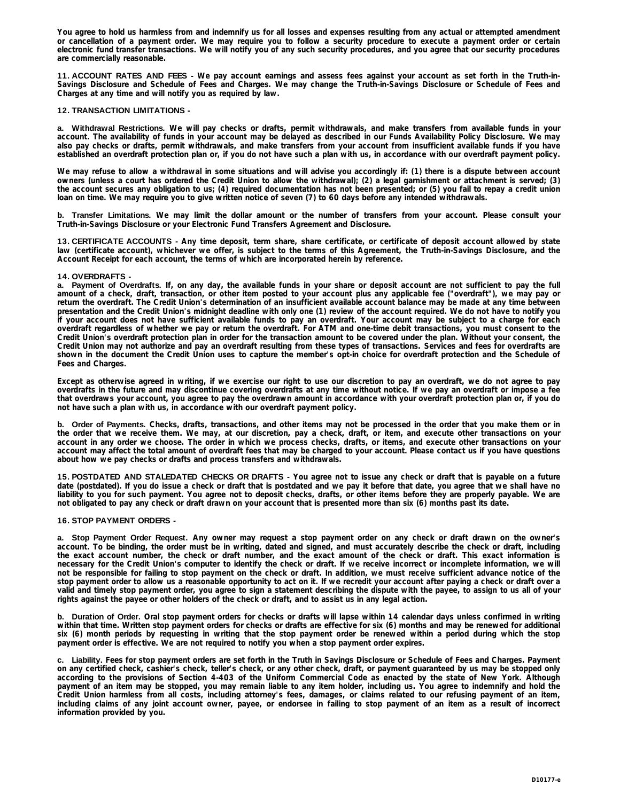You agree to hold us harmless from and indemnify us for all losses and expenses resulting from any actual or attempted amendment or cancellation of a payment order. We may require you to follow a security procedure to execute a payment order or certain electronic fund transfer transactions. We will notify you of any such security procedures, and you agree that our security procedures **are commercially reasonable.**

11. ACCOUNT RATES AND FEES - We pay account earnings and assess fees against your account as set forth in the Truth-in-Savings Disclosure and Schedule of Fees and Charges. We may change the Truth-in-Savings Disclosure or Schedule of Fees and **Charges at any time and will notify you as required by law.**

## **12. TRANSACTION LIMITATIONS -**

a. Withdrawal Restrictions. We will pay checks or drafts, permit withdrawals, and make transfers from available funds in your account. The availability of funds in your account may be delayed as described in our Funds Availability Policy Disclosure. We may also pay checks or drafts, permit withdrawals, and make transfers from your account from insufficient available funds if you have established an overdraft protection plan or, if you do not have such a plan with us, in accordance with our overdraft payment policy.

We may refuse to allow a withdrawal in some situations and will advise you accordingly if: (1) there is a dispute between account owners (unless a court has ordered the Credit Union to allow the withdrawal); (2) a legal garnishment or attachment is served; (3) the account secures any obligation to us; (4) required documentation has not been presented; or (5) you fail to repay a credit union **loan on time. We may require you to give written notice of seven (7) to 60 days before any intended withdrawals.**

b. Transfer Limitations. We may limit the dollar amount or the number of transfers from your account. Please consult your **Truth-in-Savings Disclosure or your Electronic Fund Transfers Agreement and Disclosure.**

13. CERTIFICATE ACCOUNTS - Any time deposit, term share, share certificate, or certificate of deposit account allowed by state law (certificate account), whichever we offer, is subject to the terms of this Agreement, the Truth-in-Savings Disclosure, and the **Account Receipt for each account, the terms of which are incorporated herein by reference.**

# **14. OVERDRAFTS -**

a. Payment of Overdrafts. If, on any day, the available funds in your share or deposit account are not sufficient to pay the full amount of a check, draft, transaction, or other item posted to your account plus any applicable fee ("overdraft"), we may pay or return the overdraft. The Credit Union's determination of an insufficient available account balance may be made at any time between presentation and the Credit Union's midnight deadline with only one (1) review of the account required. We do not have to notify you if your account does not have sufficient available funds to pay an overdraft. Your account may be subject to a charge for each overdraft regardless of whether we pay or return the overdraft. For ATM and one-time debit transactions, you must consent to the Credit Union's overdraft protection plan in order for the transaction amount to be covered under the plan. Without your consent, the Credit Union may not authorize and pay an overdraft resulting from these types of transactions. Services and fees for overdrafts are shown in the document the Credit Union uses to capture the member's opt-in choice for overdraft protection and the Schedule of **Fees and Charges.** 

Except as otherwise agreed in writing, if we exercise our right to use our discretion to pay an overdraft, we do not agree to pay overdrafts in the future and may discontinue covering overdrafts at any time without notice. If we pay an overdraft or impose a fee that overdraws your account, you agree to pay the overdrawn amount in accordance with your overdraft protection plan or, if you do **not have such a plan with us, in accordance with our overdraft payment policy.**

b. Order of Payments. Checks, drafts, transactions, and other items may not be processed in the order that you make them or in the order that we receive them. We may, at our discretion, pay a check, draft, or item, and execute other transactions on your account in any order we choose. The order in which we process checks, drafts, or items, and execute other transactions on your account may affect the total amount of overdraft fees that may be charged to your account. Please contact us if you have questions **about how we pay checks or drafts and process transfers and withdrawals.**

15. POSTDATED AND STALEDATED CHECKS OR DRAFTS - You agree not to issue any check or draft that is payable on a future date (postdated). If you do issue a check or draft that is postdated and we pay it before that date, you agree that we shall have no liability to you for such payment. You agree not to deposit checks, drafts, or other items before they are properly payable. We are **not obligated to pay any check or draft drawn on your account that is presented more than six (6) months past its date.**

### **16. STOP PAYMENT ORDERS -**

a. Stop Payment Order Request. Any owner may request a stop payment order on any check or draft drawn on the owner's account. To be binding, the order must be in writing, dated and signed, and must accurately describe the check or draft, including the exact account number, the check or draft number, and the exact amount of the check or draft. This exact information is necessary for the Credit Union's computer to identify the check or draft. If we receive incorrect or incomplete information, we will not be responsible for failing to stop payment on the check or draft. In addition, we must receive sufficient advance notice of the stop payment order to allow us a reasonable opportunity to act on it. If we recredit your account after paying a check or draft over a valid and timely stop payment order, you agree to sign a statement describing the dispute with the payee, to assign to us all of your **rights against the payee or other holders of the check or draft, and to assist us in any legal action.**

b. Duration of Order. Oral stop payment orders for checks or drafts will lapse within 14 calendar days unless confirmed in writing within that time. Written stop payment orders for checks or drafts are effective for six (6) months and may be renewed for additional six (6) month periods by requesting in writing that the stop payment order be renewed within a period during which the stop **payment order is effective. We are not required to notify you when a stop payment order expires.**

c. Liability. Fees for stop payment orders are set forth in the Truth in Savings Disclosure or Schedule of Fees and Charges. Payment on any certified check, cashier's check, teller's check, or any other check, draft, or payment guaranteed by us may be stopped only according to the provisions of Section 4-403 of the Uniform Commercial Code as enacted by the state of New York. Although payment of an item may be stopped, you may remain liable to any item holder, including us. You agree to indemnify and hold the Credit Union harmless from all costs, including attorney's fees, damages, or claims related to our refusing payment of an item, including claims of any joint account owner, payee, or endorsee in failing to stop payment of an item as a result of incorrect **information provided by you.**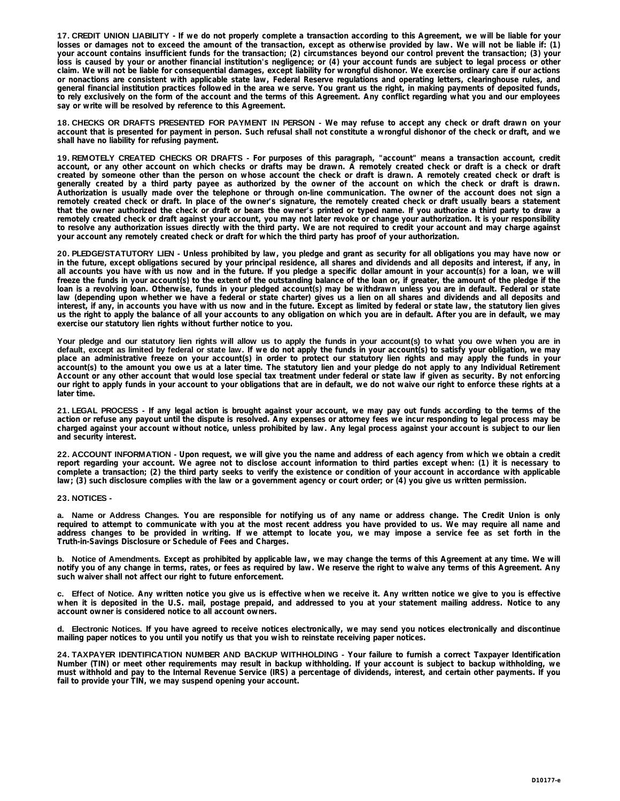17. CREDIT UNION LIABILITY - If we do not properly complete a transaction according to this Agreement, we will be liable for your losses or damages not to exceed the amount of the transaction, except as otherwise provided by law. We will not be liable if: (1) your account contains insufficient funds for the transaction; (2) circumstances beyond our control prevent the transaction; (3) your loss is caused by your or another financial institution's negligence; or (4) your account funds are subject to legal process or other claim. We will not be liable for consequential damages, except liability for wrongful dishonor. We exercise ordinary care if our actions or nonactions are consistent with applicable state law, Federal Reserve regulations and operating letters, clearinghouse rules, and general financial institution practices followed in the area we serve. You grant us the right, in making payments of deposited funds, to rely exclusively on the form of the account and the terms of this Agreement. Any conflict regarding what you and our employees **say or write will be resolved by reference to this Agreement.**

18. CHECKS OR DRAFTS PRESENTED FOR PAYMENT IN PERSON - We may refuse to accept any check or draft drawn on your account that is presented for payment in person. Such refusal shall not constitute a wrongful dishonor of the check or draft, and we **shall have no liability for refusing payment.**

19. REMOTELY CREATED CHECKS OR DRAFTS - For purposes of this paragraph. "account" means a transaction account, credit account, or any other account on which checks or drafts may be drawn. A remotely created check or draft is a check or draft created by someone other than the person on whose account the check or draft is drawn. A remotely created check or draft is generally created by a third party payee as authorized by the owner of the account on which the check or draft is drawn. Authorization is usually made over the telephone or through on-line communication. The owner of the account does not sign a remotely created check or draft. In place of the owner's signature, the remotely created check or draft usually bears a statement that the owner authorized the check or draft or bears the owner's printed or typed name. If you authorize a third party to draw a remotely created check or draft against your account, you may not later revoke or change your authorization. It is your responsibility to resolve any authorization issues directly with the third party. We are not required to credit your account and may charge against **your account any remotely created check or draft for which the third party has proof of your authorization.**

20. PLEDGE/STATUTORY LIEN - Unless prohibited by law, you pledge and grant as security for all obligations you may have now or in the future, except obligations secured by your principal residence, all shares and dividends and all deposits and interest, if any, in all accounts you have with us now and in the future. If you pledge a specific dollar amount in your account(s) for a loan, we will freeze the funds in your account(s) to the extent of the outstanding balance of the loan or, if greater, the amount of the pledge if the loan is a revolving loan. Otherwise, funds in your pledged account(s) may be withdrawn unless you are in default. Federal or state law (depending upon whether we have a federal or state charter) gives us a lien on all shares and dividends and all deposits and interest, if any, in accounts you have with us now and in the future. Except as limited by federal or state law, the statutory lien gives us the right to apply the balance of all your accounts to any obligation on which you are in default. After you are in default, we may **exercise our statutory lien rights without further notice to you.**

Your pledge and our statutory lien rights will allow us to apply the funds in your account(s) to what you owe when you are in default, except as limited by federal or state law. If we do not apply the funds in your account(s) to satisfy your obligation, we may place an administrative freeze on your account(s) in order to protect our statutory lien rights and may apply the funds in your account(s) to the amount you owe us at a later time. The statutory lien and your pledge do not apply to any Individual Retirement Account or any other account that would lose special tax treatment under federal or state law if given as security. By not enforcing our right to apply funds in your account to your obligations that are in default, we do not waive our right to enforce these rights at a **later time.**

21. LEGAL PROCESS - If any legal action is brought against your account, we may pay out funds according to the terms of the action or refuse any payout until the dispute is resolved. Any expenses or attorney fees we incur responding to legal process may be charged against your account without notice, unless prohibited by law. Any legal process against your account is subject to our lien **and security interest.**

22. ACCOUNT INFORMATION - Upon request, we will give you the name and address of each agency from which we obtain a credit report regarding your account. We agree not to disclose account information to third parties except when: (1) it is necessary to complete a transaction; (2) the third party seeks to verify the existence or condition of your account in accordance with applicable **law; (3) such disclosure complies with the law or a government agency or court order; or (4) you give us written permission.**

### **23. NOTICES -**

a. Name or Address Changes. You are responsible for notifying us of any name or address change. The Credit Union is only required to attempt to communicate with you at the most recent address you have provided to us. We may require all name and address changes to be provided in writing. If we attempt to locate you, we may impose a service fee as set forth in the **Truth-in-Savings Disclosure or Schedule of Fees and Charges.**

b. Notice of Amendments. Except as prohibited by applicable law, we may change the terms of this Agreement at any time. We will notify you of any change in terms, rates, or fees as required by law. We reserve the right to waive any terms of this Agreement. Any **such waiver shall not affect our right to future enforcement.**

c. Effect of Notice. Any written notice you give us is effective when we receive it. Any written notice we give to you is effective when it is deposited in the U.S. mail, postage prepaid, and addressed to you at your statement mailing address. Notice to any **account owner is considered notice to all account owners.**

d. Electronic Notices. If you have agreed to receive notices electronically, we may send you notices electronically and discontinue **mailing paper notices to you until you notify us that you wish to reinstate receiving paper notices.**

24. TAXPAYER IDENTIFICATION NUMBER AND BACKUP WITHHOLDING - Your failure to furnish a correct Taxpayer Identification Number (TIN) or meet other requirements may result in backup withholding. If your account is subject to backup withholding, we must withhold and pay to the Internal Revenue Service (IRS) a percentage of dividends, interest, and certain other payments. If you **fail to provide your TIN, we may suspend opening your account.**